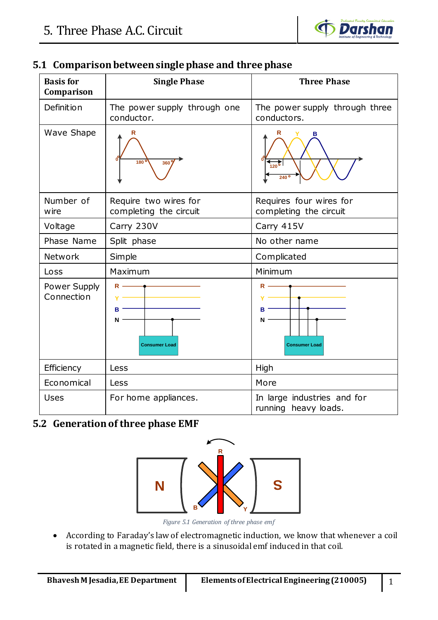

| <b>Basis for</b><br>Comparison | <b>Single Phase</b>                                          | <b>Three Phase</b>                                  |  |
|--------------------------------|--------------------------------------------------------------|-----------------------------------------------------|--|
| Definition                     | The power supply through one<br>conductor.                   | The power supply through three<br>conductors.       |  |
| Wave Shape                     | 180<br>360                                                   | $\frac{1}{120}$<br>240                              |  |
| Number of<br>wire              | Require two wires for<br>completing the circuit              | Requires four wires for<br>completing the circuit   |  |
| Voltage                        | Carry 230V                                                   | Carry 415V                                          |  |
| Phase Name                     | Split phase                                                  | No other name                                       |  |
| Network                        | Simple                                                       | Complicated                                         |  |
| Loss                           | Maximum                                                      | Minimum                                             |  |
| Power Supply<br>Connection     | $R \longrightarrow$<br><b>B</b><br>N<br><b>Consumer Load</b> | $R -$<br>в<br>N<br><b>Consumer Load</b>             |  |
| Efficiency                     | Less                                                         | High                                                |  |
| Economical                     | Less                                                         | More                                                |  |
| <b>Uses</b>                    | For home appliances.                                         | In large industries and for<br>running heavy loads. |  |

## **5.1 Comparisonbetween single phase and three phase**

# **5.2 Generation of three phase EMF**



*Figure 5.1 Generation of three phase emf*

• According to Faraday's law of electromagnetic induction, we know that whenever a coil is rotated in a magnetic field, there is a sinusoidal emf induced in that coil.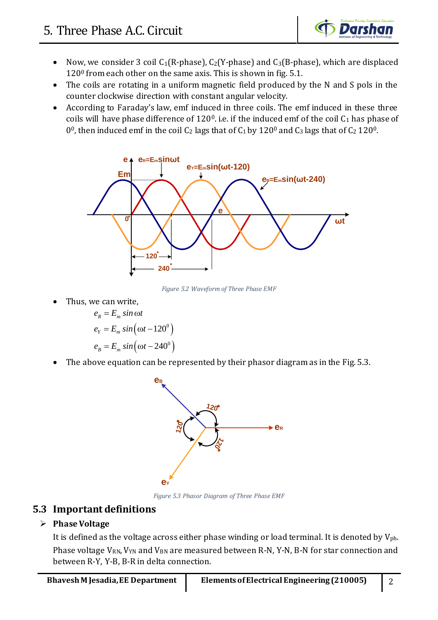

- Now, we consider 3 coil  $C_1(R\text{-phase})$ ,  $C_2(Y\text{-phase})$  and  $C_3(B\text{-phase})$ , which are displaced  $120<sup>0</sup>$  from each other on the same axis. This is shown in fig. 5.1.
- The coils are rotating in a uniform magnetic field produced by the N and S pols in the counter clockwise direction with constant angular velocity.
- According to Faraday's law, emf induced in three coils. The emf induced in these three coils will have phase difference of  $120^{\circ}$ . i.e. if the induced emf of the coil  $C_1$  has phase of 0<sup>0</sup>, then induced emf in the coil C<sub>2</sub> lags that of C<sub>1</sub> by 120<sup>0</sup> and C<sub>3</sub> lags that of C<sub>2</sub> 120<sup>0</sup>.



*Figure 5.2 Waveform of Three Phase EMF*

• Thus, we can write,

$$
e_R = E_m \sin \omega t
$$
  
\n
$$
e_Y = E_m \sin(\omega t - 120^\circ)
$$
  
\n
$$
e_B = E_m \sin(\omega t - 240^\circ)
$$

The above equation can be represented by their phasor diagram as in the Fig. 5.3.



*Figure 5.3 Phasor Diagram of Three Phase EMF*

## **5.3 Important definitions**

## ➢ **Phase Voltage**

It is defined as the voltage across either phase winding or load terminal. It is denoted by  $V_{ph}$ . Phase voltage V<sub>RN</sub>, V<sub>YN</sub> and V<sub>BN</sub> are measured between R-N, Y-N, B-N for star connection and between R-Y, Y-B, B-R in delta connection.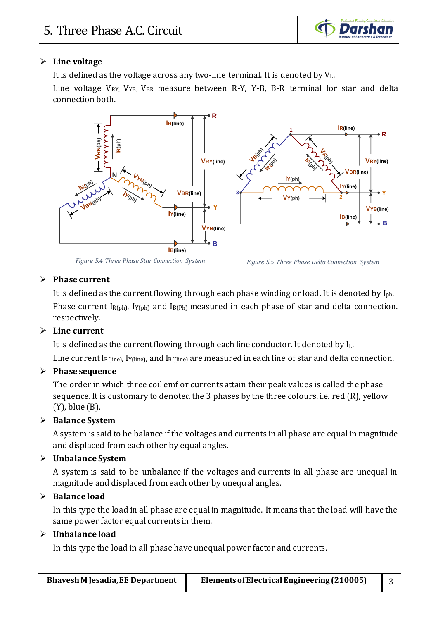

### ➢ **Line voltage**

It is defined as the voltage across any two-line terminal. It is denoted by VL.

Line voltage  $V_{RY}$ ,  $V_{YB}$ ,  $V_{BR}$  measure between R-Y, Y-B, B-R terminal for star and delta connection both.



*Figure 5.4 Three Phase Star Connection System*

*Figure 5.5 Three Phase Delta Connection System*

#### ➢ **Phase current**

It is defined as the current flowing through each phase winding or load. It is denoted by Iph. Phase current  $I_{R(ph)}$ ,  $I_{Y(ph)}$  and  $I_{B(Ph)}$  measured in each phase of star and delta connection. respectively.

### ➢ **Line current**

It is defined as the current flowing through each line conductor. It denoted by IL. Line current I<sub>R(line)</sub>, I<sub>Y(line)</sub>, and I<sub>B((line)</sub> are measured in each line of star and delta connection.

### ➢ **Phase sequence**

The order in which three coil emf or currents attain their peak values is called the phase sequence. It is customary to denoted the 3 phases by the three colours. i.e. red (R), yellow (Y), blue (B).

### ➢ **Balance System**

A system is said to be balance if the voltages and currents in all phase are equal in magnitude and displaced from each other by equal angles.

### ➢ **Unbalance System**

A system is said to be unbalance if the voltages and currents in all phase are unequal in magnitude and displaced from each other by unequal angles.

### ➢ **Balance load**

In this type the load in all phase are equal in magnitude. It means that the load will have the same power factor equal currents in them.

#### ➢ **Unbalance load**

In this type the load in all phase have unequal power factor and currents.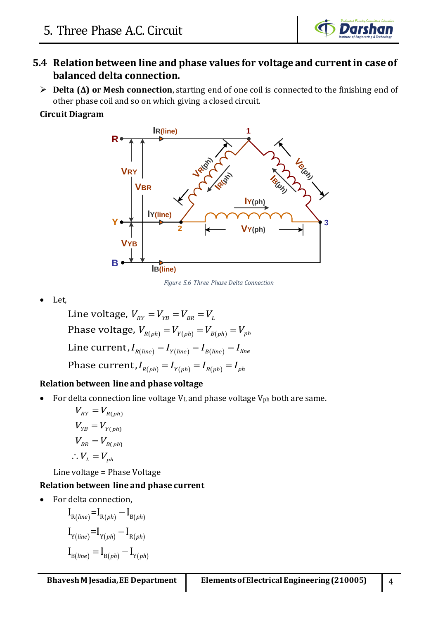

## **5.4 Relation between line and phase values for voltage and current in case of balanced delta connection.**

➢ **Delta (Δ) or Mesh connection**, starting end of one coil is connected to the finishing end of other phase coil and so on which giving a closed circuit.

### **Circuit Diagram**



*Figure 5.6 Three Phase Delta Connection*

• Let,

 $\text{Phase voltage, } V_{_{R(ph)}} = V_{_{Y(ph)}} = V_{_{B(ph)}} = V_{_{ph}}$  $\text{Line current,} I_{R(line)} = I_{Y(line)} = I_{B(line)} = I_{line}$  $\mathbf{P} \mathbf{h}$ ase current, $I_{R(ph)}=I_{\gamma(ph)}=I_{B(ph)}=I_{ph}$ Line voltage,  $V_{_{RY}}=V_{_{YB}}=V_{_{BR}}=V_{_{L}}$ 

## **Relation between line and phase voltage**

For delta connection line voltage  $V<sub>L</sub>$  and phase voltage  $V<sub>ph</sub>$  both are same.

 $V_{RY} = V_{R(ph)}$  $V_{YB} = V_{Y(ph)}$  $V_{BR} = V_{B(ph)}$  $\therefore V_L = V_{ph}$ 

Line voltage = Phase Voltage

## **Relation between line and phase current**

• For delta connection,

$$
I_{R(line)} = I_{R(ph)} - I_{B(ph)}
$$
  
\n
$$
I_{Y(line)} = I_{Y(ph)} - I_{R(ph)}
$$
  
\n
$$
I_{B(line)} = I_{B(ph)} - I_{Y(ph)}
$$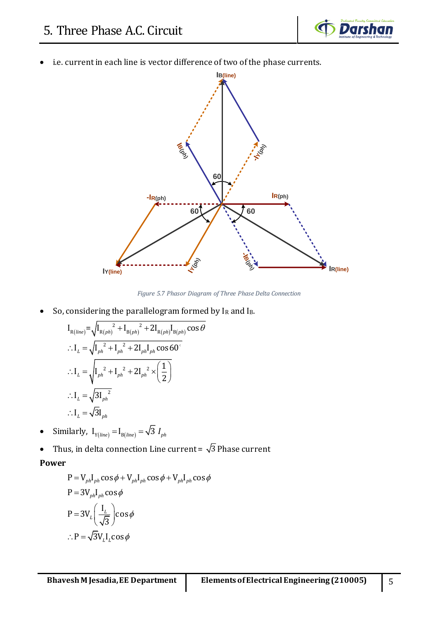

i.e. current in each line is vector difference of two of the phase currents.



*Figure 5.7 Phasor Diagram of Three Phase Delta Connection*

\n- So, considering the parallelogram formed by I<sub>R</sub> and I<sub>B</sub>.
\n- \n
$$
I_{R(line)} = \sqrt{I_{R(ph)}^2 + I_{B(ph)}^2 + 2I_{R(ph)}I_{B(ph)}\cos\theta}
$$
\n
\n- \n
$$
I_L = \sqrt{I_{ph}^2 + I_{ph}^2 + 2I_{ph}I_{ph}\cos 60^\circ}
$$
\n
\n- \n
$$
I_L = \sqrt{I_{ph}^2 + I_{ph}^2 + 2I_{ph}^2 \times \left(\frac{1}{2}\right)}
$$
\n
\n- \n
$$
I_L = \sqrt{3I_{ph}^2}
$$
\n
\n- \n
$$
I_L = \sqrt{3I_{ph}}
$$
\n
\n

- Similarly,  $I_{Y(line)} = I_{B(line)} = \sqrt{3} I_{ph}$
- Thus, in delta connection Line current =  $\sqrt{3}$  Phase current **Power**

$$
P = V_{ph}I_{ph} \cos \phi + V_{ph}I_{ph} \cos \phi + V_{ph}I_{ph} \cos \phi
$$
  
\n
$$
P = 3V_{ph}I_{ph} \cos \phi
$$
  
\n
$$
P = 3V_{L} \left(\frac{I_{L}}{\sqrt{3}}\right) \cos \phi
$$
  
\n
$$
\therefore P = \sqrt{3}V_{L}I_{L} \cos \phi
$$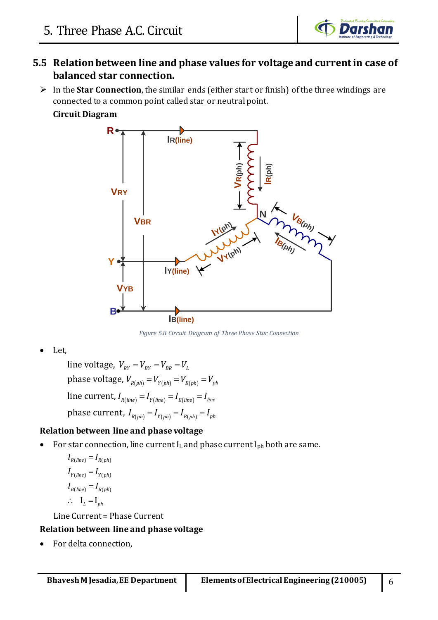

## **5.5 Relation between line and phase values for voltage and current in case of balanced star connection.**

➢ In the **Star Connection**, the similar ends (either start or finish) of the three windings are connected to a common point called star or neutral point.

## **Circuit Diagram**



*Figure 5.8 Circuit Diagram of Three Phase Star Connection*

• Let,

phase voltage,  $V_{_{R(ph)}}=V_{_{Y(ph)}}=V_{_{B(ph)}}=V_{_{ph}}$  $\lim_{R(\textit{line})}I_{R(\textit{line})} = I_{Y(\textit{line})} = I_{B(\textit{line})} = I_{\textit{line}}$ phase current,  $I_{R(ph)}^{} = I_{Y(ph)}^{} = I_{B(ph)}^{} = I_{ph}^{}$  $\lim$ e voltage,  $\textit{V}_{_{RY}} = \textit{V}_{_{BY}} = \textit{V}_{_{BR}} = \textit{V}_{_{L}}$ 

## **Relation between line and phase voltage**

• For star connection, line current  $I_L$  and phase current  $I_{ph}$  both are same.

$$
I_{R(line)} = I_{R(ph)}
$$
  
\n
$$
I_{Y(line)} = I_{Y(ph)}
$$
  
\n
$$
I_{B(line)} = I_{B(ph)}
$$
  
\n
$$
\therefore I_L = I_{ph}
$$

Line Current = Phase Current

### **Relation between line and phase voltage**

• For delta connection,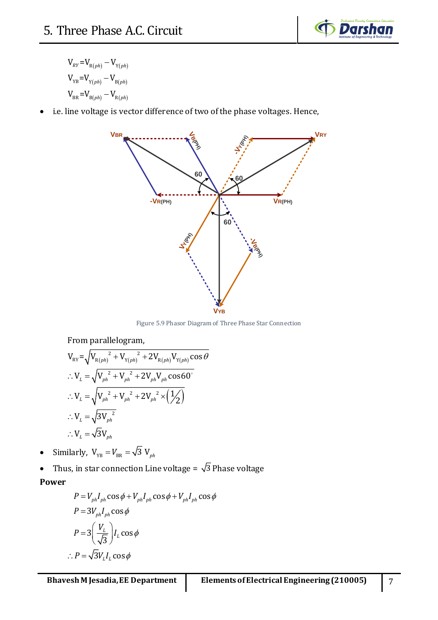

 $V_{RY} = V_{R(ph)} - V_{Y(ph)}$  $V_{YB} = V_{Y(ph)} - V_{B(ph)}$  $V_{BR} = V_{B(ph)} - V_{R(ph)}$ 

• i.e. line voltage is vector difference of two of the phase voltages. Hence,



Figure 5.9 Phasor Diagram of Three Phase Star Connection

From parallelogram,  
\n
$$
V_{RY} = \sqrt{V_{R(ph)}^2 + V_{Y(ph)}^2 + 2V_{R(ph)}V_{Y(ph)}\cos\theta}
$$
\n
$$
\therefore V_L = \sqrt{V_{ph}^2 + V_{ph}^2 + 2V_{ph}V_{ph}\cos 60^\circ}
$$
\n
$$
\therefore V_L = \sqrt{V_{ph}^2 + V_{ph}^2 + 2V_{ph}^2 \times (\frac{1}{2})}
$$
\n
$$
\therefore V_L = \sqrt{3V_{ph}^2}
$$
\n
$$
\therefore V_L = \sqrt{3}V_{ph}
$$

- Similarly,  $V_{YB} = V_{BR} = \sqrt{3} V_{ph}$
- Thus, in star connection Line voltage =  $\sqrt{3}$  Phase voltage **Power**

$$
P = V_{ph}I_{ph}\cos\phi + V_{ph}I_{ph}\cos\phi + V_{ph}I_{ph}\cos\phi
$$
  
\n
$$
P = 3V_{ph}I_{ph}\cos\phi
$$
  
\n
$$
P = 3\left(\frac{V_L}{\sqrt{3}}\right)I_L\cos\phi
$$
  
\n
$$
\therefore P = \sqrt{3}V_LI_L\cos\phi
$$

 $\ddot{\cdot}$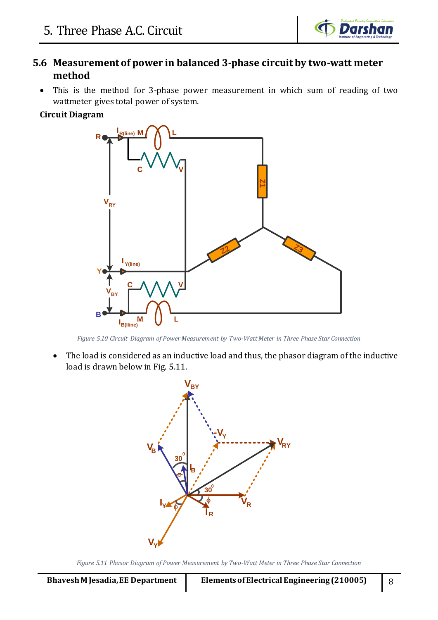

## **5.6 Measurement of power in balanced 3-phase circuit by two-watt meter method**

• This is the method for 3-phase power measurement in which sum of reading of two wattmeter gives total power of system.

#### **Circuit Diagram**



*Figure 5.10 Circuit Diagram of Power Measurement by Two-Watt Meter in Three Phase Star Connection*

• The load is considered as an inductive load and thus, the phasor diagram of the inductive load is drawn below in Fig. 5.11.



*Figure 5.11 Phasor Diagram of Power Measurement by Two-Watt Meter in Three Phase Star Connection*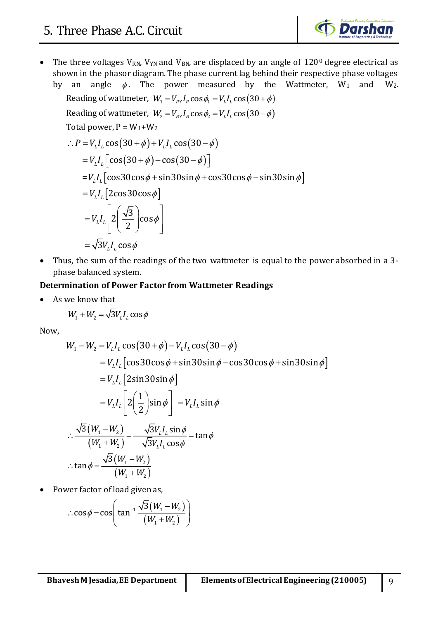

• The three voltages  $V_{RN}$ ,  $V_{YN}$  and  $V_{BN}$ , are displaced by an angle of  $120^{\circ}$  degree electrical as shown in the phasor diagram. The phase current lag behind their respective phase voltages by an angle  $\phi$ .

by an angle 
$$
\phi
$$
. The power measured by the Wattmeter, W<sub>1</sub> and W<sub>2</sub>.  
\nReading of wattmeter,  $W_1 = V_{RY}I_R \cos \phi_1 = V_L I_L \cos(30 + \phi)$   
\nReading of wattmeter,  $W_2 = V_{RY}I_R \cos \phi_2 = V_L I_L \cos(30 - \phi)$   
\nTotal power,  $P = W_1 + W_2$   
\n
$$
\therefore P = V_L I_L \cos(30 + \phi) + V_L I_L \cos(30 - \phi)
$$
\n
$$
= V_L I_L [\cos(30 + \phi) + \cos(30 - \phi)]
$$
\n
$$
= V_L I_L [\cos 30 \cos \phi + \sin 30 \sin \phi + \cos 30 \cos \phi - \sin 30 \sin \phi]
$$
\n
$$
= V_L I_L [2 \cos 30 \cos \phi]
$$
\n
$$
= V_L I_L [2 \left(\frac{\sqrt{3}}{2}\right) \cos \phi]
$$
\n
$$
= \sqrt{3} V_L I_L \cos \phi
$$

• Thus, the sum of the readings of the two wattmeter is equal to the power absorbed in a 3 phase balanced system.

#### **Determination of Power Factor from Wattmeter Readings**

• As we know that

$$
W_1 + W_2 = \sqrt{3}V_L I_L \cos \phi
$$

Now,

$$
W_1 - W_2 = V_L I_L \cos(30 + \phi) - V_L I_L \cos(30 - \phi)
$$
  
=  $V_L I_L [\cos 30 \cos \phi + \sin 30 \sin \phi - \cos 30 \cos \phi + \sin 30 \sin \phi]$   
=  $V_L I_L [2 \sin 30 \sin \phi]$   
=  $V_L I_L [2(\frac{1}{2}) \sin \phi] = V_L I_L \sin \phi$   
 $\therefore \frac{\sqrt{3}(W_1 - W_2)}{(W_1 + W_2)} = \frac{\sqrt{3}V_L I_L \sin \phi}{\sqrt{3}V_L I_L \cos \phi} = \tan \phi$   
 $\therefore \tan \phi = \frac{\sqrt{3}(W_1 - W_2)}{(W_1 + W_2)}$ 

• Power factor of load given as,

$$
\therefore \cos \phi = \cos \left( \tan^{-1} \frac{\sqrt{3}(W_1 - W_2)}{(W_1 + W_2)} \right)
$$